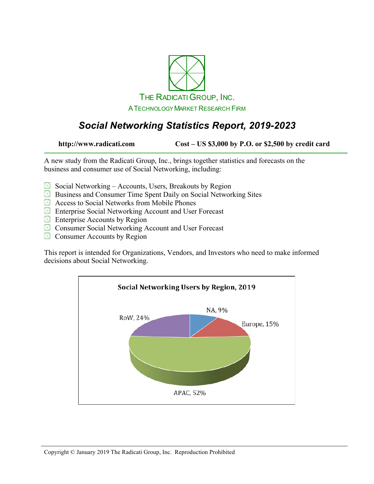

# *Social Networking Statistics Report, 2019-2023*

**http://www.radicati.com Cost – US \$3,000 by P.O. or \$2,500 by credit card**

A new study from the Radicati Group, Inc., brings together statistics and forecasts on the business and consumer use of Social Networking, including:

- $\boxplus$  Social Networking Accounts, Users, Breakouts by Region
- Business and Consumer Time Spent Daily on Social Networking Sites
- **Access to Social Networks from Mobile Phones**
- Enterprise Social Networking Account and User Forecast
- **Enterprise Accounts by Region**
- **EX** Consumer Social Networking Account and User Forecast
- **EX** Consumer Accounts by Region

This report is intended for Organizations, Vendors, and Investors who need to make informed decisions about Social Networking.

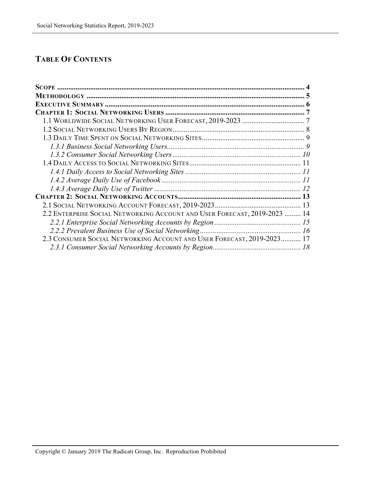### **TABLE OF CONTENTS**

| 2.2 ENTERPRISE SOCIAL NETWORKING ACCOUNT AND USER FORECAST, 2019-2023  14 |  |
|---------------------------------------------------------------------------|--|
|                                                                           |  |
|                                                                           |  |
| 2.3 CONSUMER SOCIAL NETWORKING ACCOUNT AND USER FORECAST, 2019-2023 17    |  |
|                                                                           |  |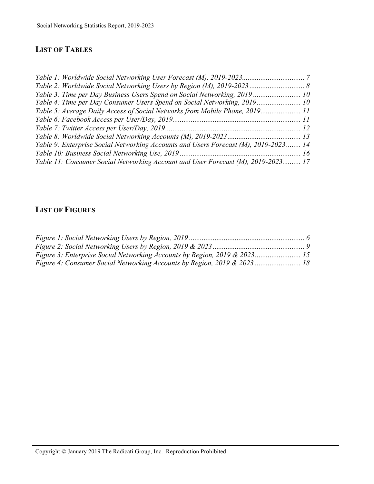## **LIST OF TABLES**

| Table 3: Time per Day Business Users Spend on Social Networking, 2019  10           |  |
|-------------------------------------------------------------------------------------|--|
| Table 4: Time per Day Consumer Users Spend on Social Networking, 2019 10            |  |
| Table 5: Average Daily Access of Social Networks from Mobile Phone, 2019 11         |  |
|                                                                                     |  |
|                                                                                     |  |
|                                                                                     |  |
| Table 9: Enterprise Social Networking Accounts and Users Forecast (M), 2019-2023 14 |  |
|                                                                                     |  |
| Table 11: Consumer Social Networking Account and User Forecast (M), 2019-2023 17    |  |

### **LIST OF FIGURES**

| Figure 3: Enterprise Social Networking Accounts by Region, 2019 & 2023 15 |  |
|---------------------------------------------------------------------------|--|
| Figure 4: Consumer Social Networking Accounts by Region, 2019 & 2023  18  |  |